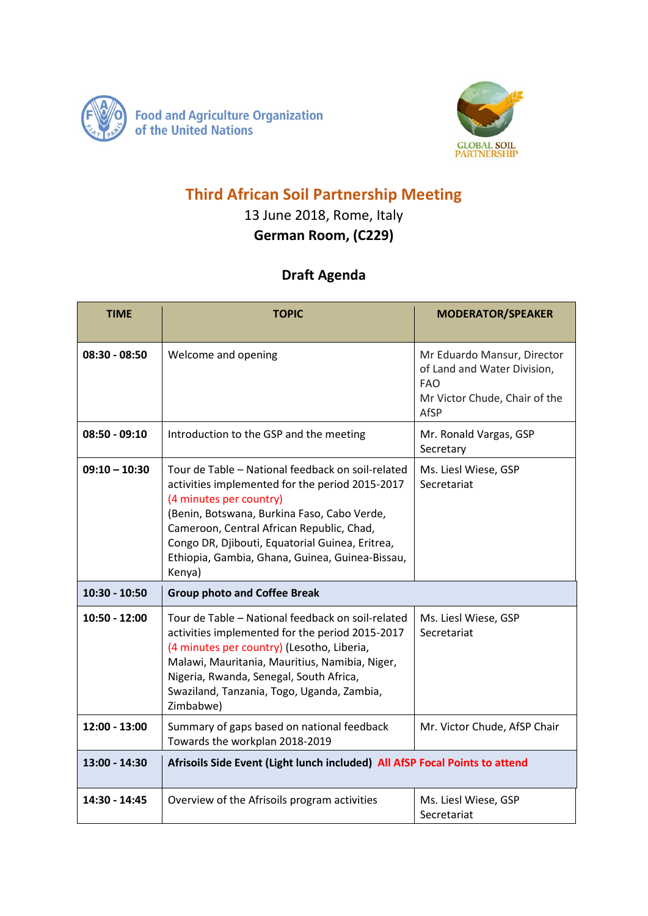



## **Third African Soil Partnership Meeting**

## 13 June 2018, Rome, Italy **German Room, (C229)**

## **Draft Agenda**

| <b>TIME</b>     | <b>TOPIC</b>                                                                                                                                                                                                                                                                                                                                | <b>MODERATOR/SPEAKER</b>                                                                                          |
|-----------------|---------------------------------------------------------------------------------------------------------------------------------------------------------------------------------------------------------------------------------------------------------------------------------------------------------------------------------------------|-------------------------------------------------------------------------------------------------------------------|
| $08:30 - 08:50$ | Welcome and opening                                                                                                                                                                                                                                                                                                                         | Mr Eduardo Mansur, Director<br>of Land and Water Division,<br><b>FAO</b><br>Mr Victor Chude, Chair of the<br>AfSP |
| $08:50 - 09:10$ | Introduction to the GSP and the meeting                                                                                                                                                                                                                                                                                                     | Mr. Ronald Vargas, GSP<br>Secretary                                                                               |
| $09:10 - 10:30$ | Tour de Table - National feedback on soil-related<br>activities implemented for the period 2015-2017<br>(4 minutes per country)<br>(Benin, Botswana, Burkina Faso, Cabo Verde,<br>Cameroon, Central African Republic, Chad,<br>Congo DR, Djibouti, Equatorial Guinea, Eritrea,<br>Ethiopia, Gambia, Ghana, Guinea, Guinea-Bissau,<br>Kenya) | Ms. Liesl Wiese, GSP<br>Secretariat                                                                               |
| 10:30 - 10:50   | <b>Group photo and Coffee Break</b>                                                                                                                                                                                                                                                                                                         |                                                                                                                   |
| $10:50 - 12:00$ | Tour de Table - National feedback on soil-related<br>activities implemented for the period 2015-2017<br>(4 minutes per country) (Lesotho, Liberia,<br>Malawi, Mauritania, Mauritius, Namibia, Niger,<br>Nigeria, Rwanda, Senegal, South Africa,<br>Swaziland, Tanzania, Togo, Uganda, Zambia,<br>Zimbabwe)                                  | Ms. Liesl Wiese, GSP<br>Secretariat                                                                               |
| 12:00 - 13:00   | Summary of gaps based on national feedback<br>Towards the workplan 2018-2019                                                                                                                                                                                                                                                                | Mr. Victor Chude, AfSP Chair                                                                                      |
| 13:00 - 14:30   | Afrisoils Side Event (Light lunch included) All AfSP Focal Points to attend                                                                                                                                                                                                                                                                 |                                                                                                                   |
| 14:30 - 14:45   | Overview of the Afrisoils program activities                                                                                                                                                                                                                                                                                                | Ms. Liesl Wiese, GSP<br>Secretariat                                                                               |